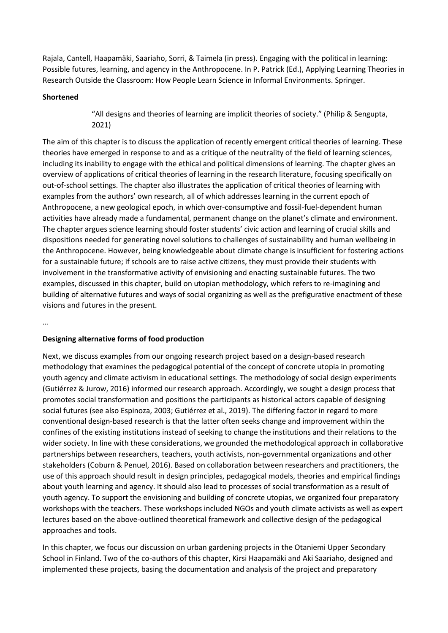Rajala, Cantell, Haapamäki, Saariaho, Sorri, & Taimela (in press). Engaging with the political in learning: Possible futures, learning, and agency in the Anthropocene. In P. Patrick (Ed.), Applying Learning Theories in Research Outside the Classroom: How People Learn Science in Informal Environments. Springer.

# **Shortened**

"All designs and theories of learning are implicit theories of society." (Philip & Sengupta, 2021)

The aim of this chapter is to discuss the application of recently emergent critical theories of learning. These theories have emerged in response to and as a critique of the neutrality of the field of learning sciences, including its inability to engage with the ethical and political dimensions of learning. The chapter gives an overview of applications of critical theories of learning in the research literature, focusing specifically on out-of-school settings. The chapter also illustrates the application of critical theories of learning with examples from the authors' own research, all of which addresses learning in the current epoch of Anthropocene, a new geological epoch, in which over-consumptive and fossil-fuel-dependent human activities have already made a fundamental, permanent change on the planet's climate and environment. The chapter argues science learning should foster students' civic action and learning of crucial skills and dispositions needed for generating novel solutions to challenges of sustainability and human wellbeing in the Anthropocene. However, being knowledgeable about climate change is insufficient for fostering actions for a sustainable future; if schools are to raise active citizens, they must provide their students with involvement in the transformative activity of envisioning and enacting sustainable futures. The two examples, discussed in this chapter, build on utopian methodology, which refers to re-imagining and building of alternative futures and ways of social organizing as well as the prefigurative enactment of these visions and futures in the present.

…

## **Designing alternative forms of food production**

Next, we discuss examples from our ongoing research project based on a design-based research methodology that examines the pedagogical potential of the concept of concrete utopia in promoting youth agency and climate activism in educational settings. The methodology of social design experiments (Gutiérrez & Jurow, 2016) informed our research approach. Accordingly, we sought a design process that promotes social transformation and positions the participants as historical actors capable of designing social futures (see also Espinoza, 2003; Gutiérrez et al., 2019). The differing factor in regard to more conventional design-based research is that the latter often seeks change and improvement within the confines of the existing institutions instead of seeking to change the institutions and their relations to the wider society. In line with these considerations, we grounded the methodological approach in collaborative partnerships between researchers, teachers, youth activists, non-governmental organizations and other stakeholders (Coburn & Penuel, 2016). Based on collaboration between researchers and practitioners, the use of this approach should result in design principles, pedagogical models, theories and empirical findings about youth learning and agency. It should also lead to processes of social transformation as a result of youth agency. To support the envisioning and building of concrete utopias, we organized four preparatory workshops with the teachers. These workshops included NGOs and youth climate activists as well as expert lectures based on the above-outlined theoretical framework and collective design of the pedagogical approaches and tools.

In this chapter, we focus our discussion on urban gardening projects in the Otaniemi Upper Secondary School in Finland. Two of the co-authors of this chapter, Kirsi Haapamäki and Aki Saariaho, designed and implemented these projects, basing the documentation and analysis of the project and preparatory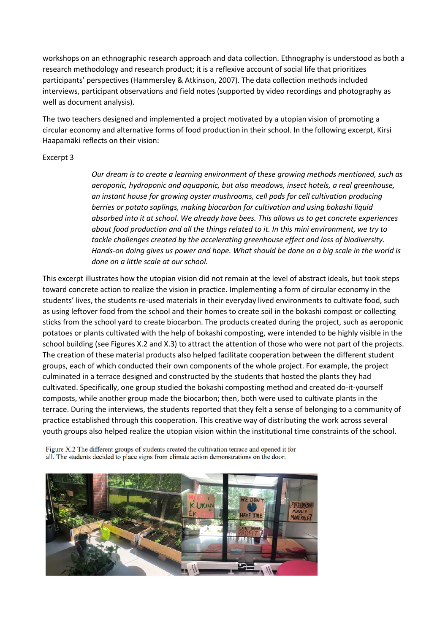workshops on an ethnographic research approach and data collection. Ethnography is understood as both a research methodology and research product; it is a reflexive account of social life that prioritizes participants' perspectives (Hammersley & Atkinson, 2007). The data collection methods included interviews, participant observations and field notes (supported by video recordings and photography as well as document analysis).

The two teachers designed and implemented a project motivated by a utopian vision of promoting a circular economy and alternative forms of food production in their school. In the following excerpt, Kirsi Haapamäki reflects on their vision:

## Excerpt 3

*Our dream is to create a learning environment of these growing methods mentioned, such as aeroponic, hydroponic and aquaponic, but also meadows, insect hotels, a real greenhouse, an instant house for growing oyster mushrooms, cell pods for cell cultivation producing berries or potato saplings, making biocarbon for cultivation and using bokashi liquid absorbed into it at school. We already have bees. This allows us to get concrete experiences about food production and all the things related to it. In this mini environment, we try to tackle challenges created by the accelerating greenhouse effect and loss of biodiversity. Hands-on doing gives us power and hope. What should be done on a big scale in the world is done on a little scale at our school.* 

This excerpt illustrates how the utopian vision did not remain at the level of abstract ideals, but took steps toward concrete action to realize the vision in practice. Implementing a form of circular economy in the students' lives, the students re-used materials in their everyday lived environments to cultivate food, such as using leftover food from the school and their homes to create soil in the bokashi compost or collecting sticks from the school yard to create biocarbon. The products created during the project, such as aeroponic potatoes or plants cultivated with the help of bokashi composting, were intended to be highly visible in the school building (see Figures X.2 and X.3) to attract the attention of those who were not part of the projects. The creation of these material products also helped facilitate cooperation between the different student groups, each of which conducted their own components of the whole project. For example, the project culminated in a terrace designed and constructed by the students that hosted the plants they had cultivated. Specifically, one group studied the bokashi composting method and created do-it-yourself composts, while another group made the biocarbon; then, both were used to cultivate plants in the terrace. During the interviews, the students reported that they felt a sense of belonging to a community of practice established through this cooperation. This creative way of distributing the work across several youth groups also helped realize the utopian vision within the institutional time constraints of the school.

Figure X.2 The different groups of students created the cultivation terrace and opened it for all. The students decided to place signs from climate action demonstrations on the door.

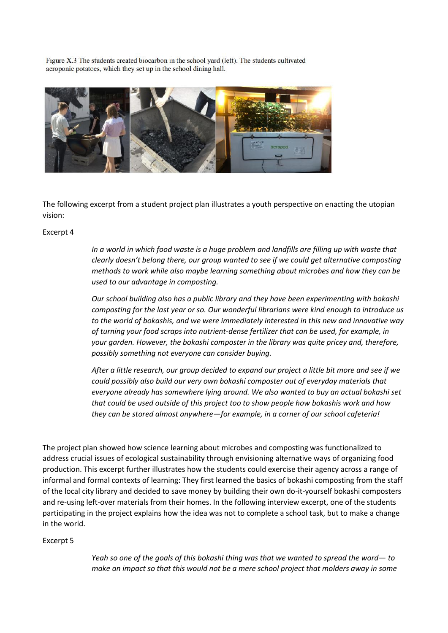Figure X.3 The students created biocarbon in the school yard (left). The students cultivated aeroponic potatoes, which they set up in the school dining hall.



The following excerpt from a student project plan illustrates a youth perspective on enacting the utopian vision:

#### Excerpt 4

*In a world in which food waste is a huge problem and landfills are filling up with waste that clearly doesn't belong there, our group wanted to see if we could get alternative composting methods to work while also maybe learning something about microbes and how they can be used to our advantage in composting.*

*Our school building also has a public library and they have been experimenting with bokashi composting for the last year or so. Our wonderful librarians were kind enough to introduce us to the world of bokashis, and we were immediately interested in this new and innovative way of turning your food scraps into nutrient-dense fertilizer that can be used, for example, in your garden. However, the bokashi composter in the library was quite pricey and, therefore, possibly something not everyone can consider buying.*

*After a little research, our group decided to expand our project a little bit more and see if we could possibly also build our very own bokashi composter out of everyday materials that everyone already has somewhere lying around. We also wanted to buy an actual bokashi set that could be used outside of this project too to show people how bokashis work and how they can be stored almost anywhere—for example, in a corner of our school cafeteria!*

The project plan showed how science learning about microbes and composting was functionalized to address crucial issues of ecological sustainability through envisioning alternative ways of organizing food production. This excerpt further illustrates how the students could exercise their agency across a range of informal and formal contexts of learning: They first learned the basics of bokashi composting from the staff of the local city library and decided to save money by building their own do-it-yourself bokashi composters and re-using left-over materials from their homes. In the following interview excerpt, one of the students participating in the project explains how the idea was not to complete a school task, but to make a change in the world.

## Excerpt 5

*Yeah so one of the goals of this bokashi thing was that we wanted to spread the word— to make an impact so that this would not be a mere school project that molders away in some*